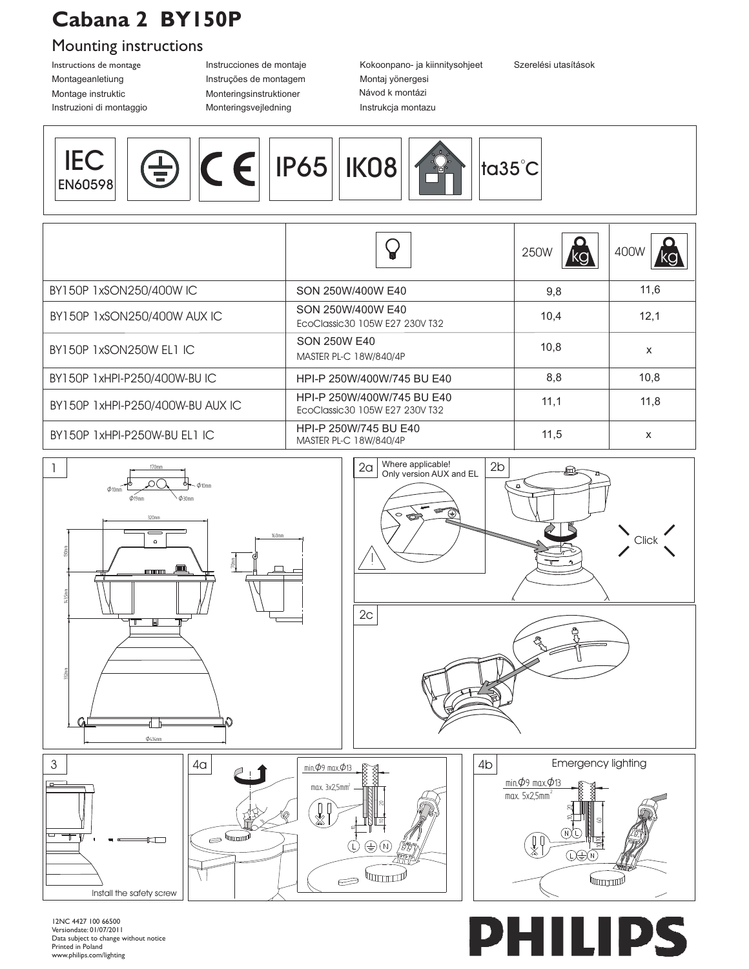## **Cabana 2 BY150P**

## Mounting instructions

Montage instruktic Instructions de montage Montageanletiung

Instruções de montagem Instrucciones de montaje Monteringsinstruktioner Instruzioni di montaggio Monteringsvejledning

Návod k montázi Instrukcja montazu Montaj yönergesi Kokoonpano- ja kiinnitysohjeet

Szerelési utasítások

| $ IP65 $ $ K\cap 8 $<br>$\epsilon$<br><b>CONTRACTOR</b><br>115<br>$\bullet$<br>16 |  |  |  |  |  | $\equiv$ | <b>EN60598</b> |
|-----------------------------------------------------------------------------------|--|--|--|--|--|----------|----------------|
|-----------------------------------------------------------------------------------|--|--|--|--|--|----------|----------------|

|                                  | ¥                                                            | O<br>250W | 400W |
|----------------------------------|--------------------------------------------------------------|-----------|------|
| BY150P 1xSON250/400W IC          | SON 250W/400W E40                                            | 9,8       | 11,6 |
| BY150P 1xSON250/400W AUX IC      | SON 250W/400W E40<br>EcoClassic30 105W E27 230V T32          | 10,4      | 12,1 |
| BY150P 1xSON250W EL1 IC          | SON 250W E40<br>MASTER PL-C 18W/840/4P                       | 10,8      | X    |
| BY150P 1xHPI-P250/400W-BUIC      | HPI-P 250W/400W/745 BU E40                                   | 8,8       | 10,8 |
| BY150P 1xHPI-P250/400W-BU AUX IC | HPI-P 250W/400W/745 BU E40<br>EcoClassic30 105W E27 230V T32 | 11,1      | 11,8 |
| BY150P 1xHPI-P250W-BU EL1 IC     | HPI-P 250W/745 BU E40<br>MASTER PL-C 18W/840/4P              | 11,5      | X    |











12NC 4427 100 66500 Versiondate: 01/07/2011 Data subject to change without notice Printed in Poland www.philips.com/lighting

## P Ħ Ι